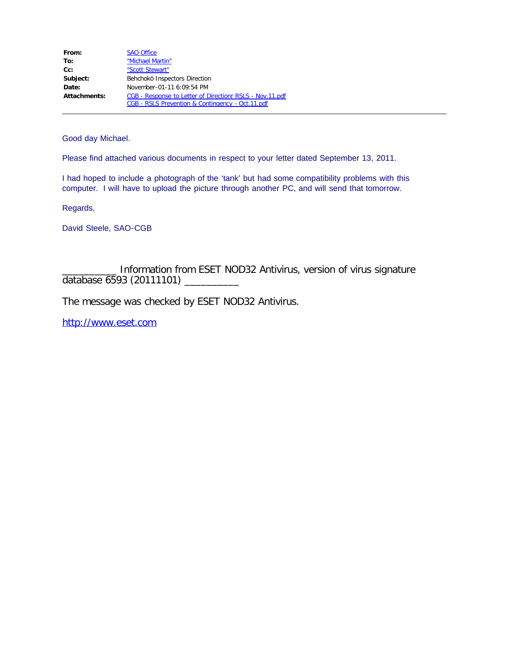| From:        | <b>SAO Office</b>                                        |
|--------------|----------------------------------------------------------|
| To:          | "Michael Martin"                                         |
| $Cc$ :       | "Scott Stewart"                                          |
| Subject:     | Behchokö Inspectors Direction                            |
| Date:        | November-01-11 6:09:54 PM                                |
| Attachments: | CGB - Response to Letter of Directionr RSLS - Nov.11.pdf |
|              | CGB - RSLS Prevention & Contingency - Oct.11.pdf         |

Good day Michael.

Please find attached various documents in respect to your letter dated September 13, 2011.

I had hoped to include a photograph of the 'tank' but had some compatibility problems with this computer. I will have to upload the picture through another PC, and will send that tomorrow.

Regards,

David Steele, SAO-CGB

Information from ESET NOD32 Antivirus, version of virus signature database 6593 (20111101) \_\_\_\_\_\_\_\_\_\_

The message was checked by ESET NOD32 Antivirus.

[http://www.eset.com](http://www.eset.com/)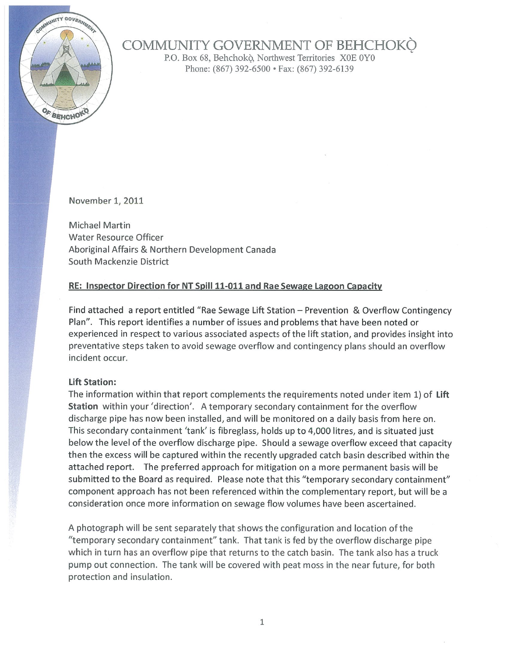

# COMMUNITY GOVERNMENT OF BEHCHOKO

P.O. Box 68, Behchokò, Northwest Territories X0E 0Y0 Phone: (867) 392-6500 · Fax: (867) 392-6139

November 1, 2011

Michael Martin Water Resource Officer Aboriginal Affairs & Northern Development Canada South Mackenzie District

## RE: Inspector Direction for NT Spill 11-011 and Rae Sewage Lagoon Capacity

Find attached a report entitled "Rae Sewage Lift Station - Prevention & Overflow Contingency Plan". This report identifies a number of issues and problems that have been noted or experienced in respect to various associated aspects of the lift station, and provides insight into preventative steps taken to avoid sewage overflow and contingency plans should an overflow incident occur.

#### **Lift Station:**

The information within that report complements the requirements noted under item 1) of Lift Station within your 'direction'. A temporary secondary containment for the overflow discharge pipe has now been installed, and will be monitored on a daily basis from here on. This secondary containment 'tank' is fibreglass, holds up to 4,000 litres, and is situated just below the level of the overflow discharge pipe. Should a sewage overflow exceed that capacity then the excess will be captured within the recently upgraded catch basin described within the attached report. The preferred approach for mitigation on a more permanent basis will be submitted to the Board as required. Please note that this "temporary secondary containment" component approach has not been referenced within the complementary report, but will be a consideration once more information on sewage flow volumes have been ascertained.

A photograph will be sent separately that shows the configuration and location of the "temporary secondary containment" tank. That tank is fed by the overflow discharge pipe which in turn has an overflow pipe that returns to the catch basin. The tank also has a truck pump out connection. The tank will be covered with peat moss in the near future, for both protection and insulation.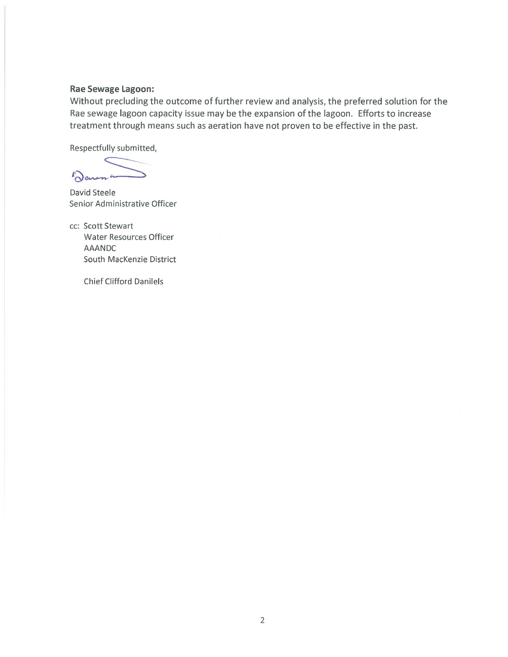#### Rae Sewage Lagoon:

Without precluding the outcome of further review and analysis, the preferred solution for the Rae sewage lagoon capacity issue may be the expansion of the lagoon. Efforts to increase treatment through means such as aeration have not proven to be effective in the past.

Respectfully submitted,

Denena

David Steele Senior Administrative Officer

cc: Scott Stewart Water Resources Officer **AAANDC** South MacKenzie District

**Chief Clifford Danilels**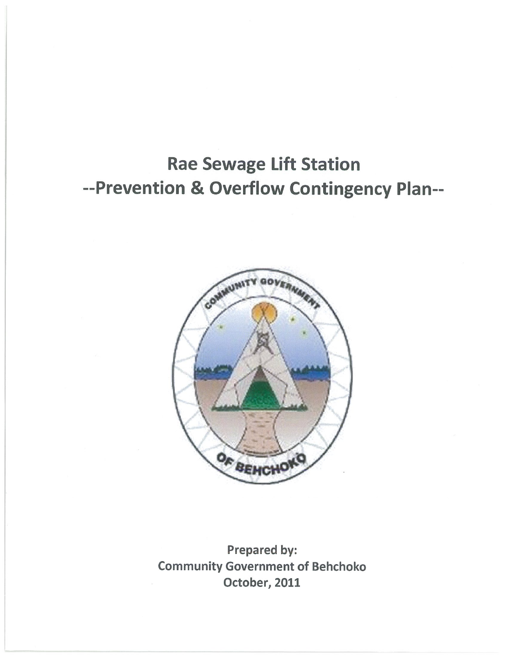# **Rae Sewage Lift Station** --Prevention & Overflow Contingency Plan--



Prepared by: **Community Government of Behchoko** October, 2011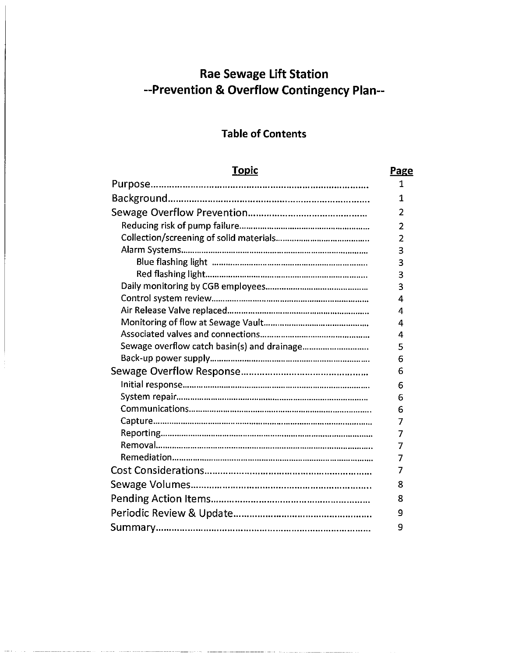# **Rae Sewage Lift Station** --Prevention & Overflow Contingency Plan--

# **Table of Contents**

| <b>Topic</b>                                | Page           |  |  |
|---------------------------------------------|----------------|--|--|
|                                             | 1              |  |  |
|                                             |                |  |  |
|                                             |                |  |  |
|                                             | $\overline{2}$ |  |  |
|                                             | $\overline{2}$ |  |  |
|                                             | 3              |  |  |
|                                             | 3              |  |  |
|                                             | 3              |  |  |
|                                             | 3              |  |  |
|                                             | 4              |  |  |
|                                             | 4              |  |  |
|                                             | 4              |  |  |
|                                             | 4              |  |  |
| Sewage overflow catch basin(s) and drainage | 5              |  |  |
|                                             | 6              |  |  |
|                                             | 6              |  |  |
|                                             | 6              |  |  |
|                                             | 6              |  |  |
|                                             | 6              |  |  |
|                                             | 7              |  |  |
|                                             | $\overline{7}$ |  |  |
|                                             | 7              |  |  |
|                                             | 7              |  |  |
|                                             | 7              |  |  |
|                                             |                |  |  |
|                                             |                |  |  |
|                                             |                |  |  |
|                                             | 9              |  |  |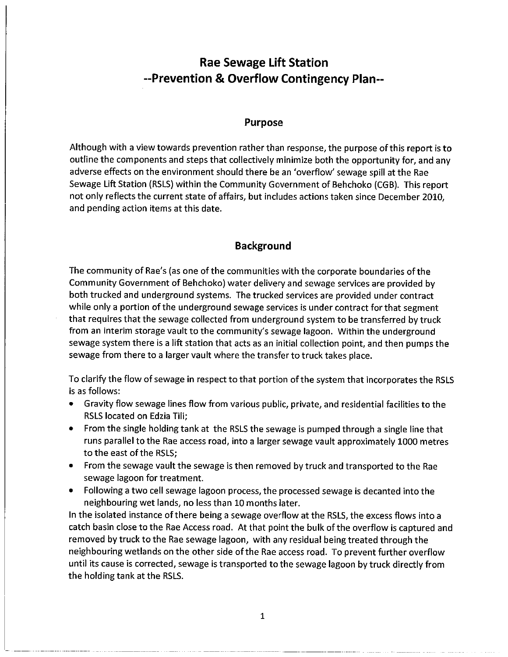# **Rae Sewage Lift Station** --Prevention & Overflow Contingency Plan--

#### **Purpose**

Although with a view towards prevention rather than response, the purpose of this report is to outline the components and steps that collectively minimize both the opportunity for, and any adverse effects on the environment should there be an 'overflow' sewage spill at the Rae Sewage Lift Station (RSLS) within the Community Government of Behchoko (CGB). This report not only reflects the current state of affairs, but includes actions taken since December 2010, and pending action items at this date.

# **Background**

The community of Rae's (as one of the communities with the corporate boundaries of the Community Government of Behchoko) water delivery and sewage services are provided by both trucked and underground systems. The trucked services are provided under contract while only a portion of the underground sewage services is under contract for that segment that requires that the sewage collected from underground system to be transferred by truck from an interim storage vault to the community's sewage lagoon. Within the underground sewage system there is a lift station that acts as an initial collection point, and then pumps the sewage from there to a larger vault where the transfer to truck takes place.

To clarify the flow of sewage in respect to that portion of the system that incorporates the RSLS is as follows:

- Gravity flow sewage lines flow from various public, private, and residential facilities to the RSLS located on Edzia Tili;
- From the single holding tank at the RSLS the sewage is pumped through a single line that runs parallel to the Rae access road, into a larger sewage vault approximately 1000 metres to the east of the RSLS;
- From the sewage vault the sewage is then removed by truck and transported to the Rae sewage lagoon for treatment.
- Following a two cell sewage lagoon process, the processed sewage is decanted into the neighbouring wet lands, no less than 10 months later.

In the isolated instance of there being a sewage overflow at the RSLS, the excess flows into a catch basin close to the Rae Access road. At that point the bulk of the overflow is captured and removed by truck to the Rae sewage lagoon, with any residual being treated through the neighbouring wetlands on the other side of the Rae access road. To prevent further overflow until its cause is corrected, sewage is transported to the sewage lagoon by truck directly from the holding tank at the RSLS.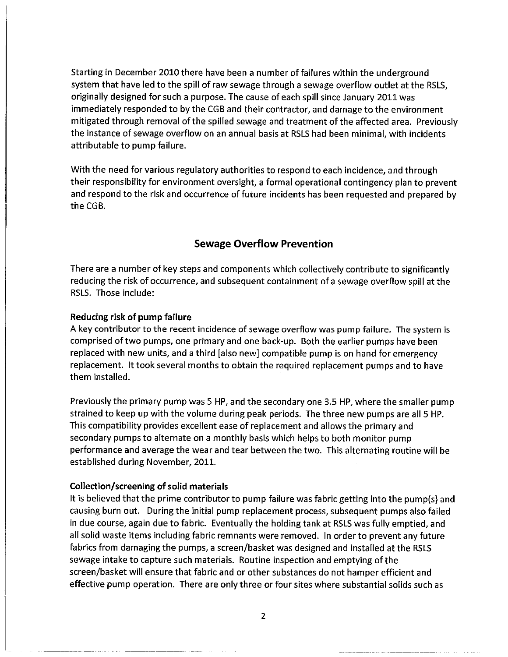Starting in December 2010 there have been a number of failures within the underground system that have led to the spill of raw sewage through a sewage overflow outlet at the RSLS, originally designed for such a purpose. The cause of each spill since January 2011 was immediately responded to by the CGB and their contractor, and damage to the environment mitigated through removal of the spilled sewage and treatment of the affected area. Previously the instance of sewage overflow on an annual basis at RSLS had been minimal, with incidents attributable to pump failure.

With the need for various regulatory authorities to respond to each incidence, and through their responsibility for environment oversight, a formal operational contingency plan to prevent and respond to the risk and occurrence of future incidents has been requested and prepared by the CGB.

#### **Sewage Overflow Prevention**

There are a number of key steps and components which collectively contribute to significantly reducing the risk of occurrence, and subsequent containment of a sewage overflow spill at the RSLS. Those include:

#### Reducing risk of pump failure

A key contributor to the recent incidence of sewage overflow was pump failure. The system is comprised of two pumps, one primary and one back-up. Both the earlier pumps have been replaced with new units, and a third [also new] compatible pump is on hand for emergency replacement. It took several months to obtain the required replacement pumps and to have them installed.

Previously the primary pump was 5 HP, and the secondary one 3.5 HP, where the smaller pump strained to keep up with the volume during peak periods. The three new pumps are all 5 HP. This compatibility provides excellent ease of replacement and allows the primary and secondary pumps to alternate on a monthly basis which helps to both monitor pump performance and average the wear and tear between the two. This alternating routine will be established during November, 2011.

#### Collection/screening of solid materials

It is believed that the prime contributor to pump failure was fabric getting into the pump(s) and causing burn out. During the initial pump replacement process, subsequent pumps also failed in due course, again due to fabric. Eventually the holding tank at RSLS was fully emptied, and all solid waste items including fabric remnants were removed. In order to prevent any future fabrics from damaging the pumps, a screen/basket was designed and installed at the RSLS sewage intake to capture such materials. Routine inspection and emptying of the screen/basket will ensure that fabric and or other substances do not hamper efficient and effective pump operation. There are only three or four sites where substantial solids such as

 $\overline{2}$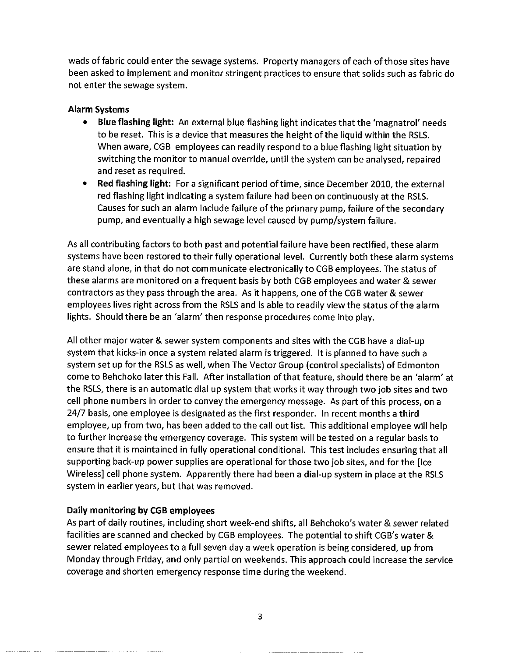wads of fabric could enter the sewage systems. Property managers of each of those sites have been asked to implement and monitor stringent practices to ensure that solids such as fabric do not enter the sewage system.

### Alarm Systems

- $\bullet$ Blue flashing light: An external blue flashing light indicates that the 'magnatrol' needs to be reset. This is a device that measures the height of the liquid within the RSLS. When aware, CGB employees can readily respond to a blue flashing light situation by switching the monitor to manual override, until the system can be analysed, repaired and reset as required.
- Red flashing light: For a significant period of time, since December 2010, the external red flashing light indicating a system failure had been on continuously at the RSLS. Causes for such an alarm include failure of the primary pump, failure of the secondary pump, and eventually a high sewage level caused by pump/system failure.

As all contributing factors to both past and potential failure have been rectified, these alarm systems have been restored to their fully operational level. Currently both these alarm systems are stand alone, in that do not communicate electronically to CGB employees. The status of these alarms are monitored on a frequent basis by both CGB employees and water & sewer contractors as they pass through the area. As it happens, one of the CGB water & sewer employees lives right across from the RSLS and is able to readily view the status of the alarm lights. Should there be an 'alarm' then response procedures come into play.

All other major water & sewer system components and sites with the CGB have a dial-up system that kicks-in once a system related alarm is triggered. It is planned to have such a system set up for the RSLS as well, when The Vector Group (control specialists) of Edmonton come to Behchoko later this Fall. After installation of that feature, should there be an 'alarm' at the RSLS, there is an automatic dial up system that works it way through two job sites and two cell phone numbers in order to convey the emergency message. As part of this process, on a 24/7 basis, one employee is designated as the first responder. In recent months a third employee, up from two, has been added to the call out list. This additional employee will help to further increase the emergency coverage. This system will be tested on a regular basis to ensure that it is maintained in fully operational conditional. This test includes ensuring that all supporting back-up power supplies are operational for those two job sites, and for the [Ice Wireless] cell phone system. Apparently there had been a dial-up system in place at the RSLS system in earlier years, but that was removed.

# Daily monitoring by CGB employees

As part of daily routines, including short week-end shifts, all Behchoko's water & sewer related facilities are scanned and checked by CGB employees. The potential to shift CGB's water & sewer related employees to a full seven day a week operation is being considered, up from Monday through Friday, and only partial on weekends. This approach could increase the service coverage and shorten emergency response time during the weekend.

 $\overline{\mathbf{3}}$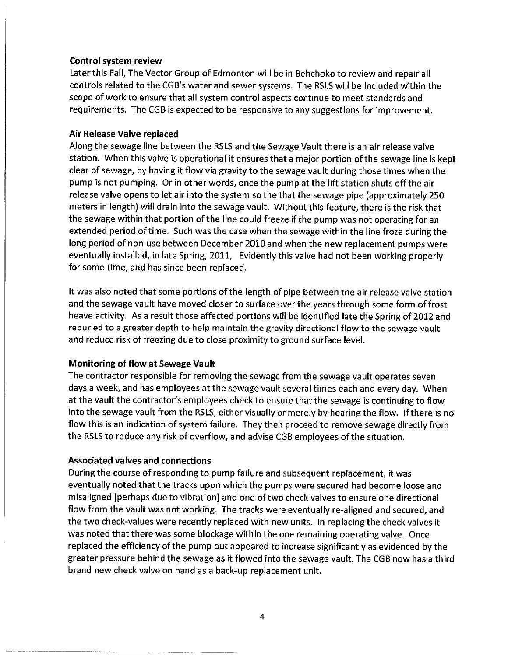#### Control system review

Later this Fall, The Vector Group of Edmonton will be in Behchoko to review and repair all controls related to the CGB's water and sewer systems. The RSLS will be included within the scope of work to ensure that all system control aspects continue to meet standards and requirements. The CGB is expected to be responsive to any suggestions for improvement.

#### Air Release Valve replaced

Along the sewage line between the RSLS and the Sewage Vault there is an air release valve station. When this valve is operational it ensures that a major portion of the sewage line is kept clear of sewage, by having it flow via gravity to the sewage vault during those times when the pump is not pumping. Or in other words, once the pump at the lift station shuts off the air release valve opens to let air into the system so the that the sewage pipe (approximately 250 meters in length) will drain into the sewage vault. Without this feature, there is the risk that the sewage within that portion of the line could freeze if the pump was not operating for an extended period of time. Such was the case when the sewage within the line froze during the long period of non-use between December 2010 and when the new replacement pumps were eventually installed, in late Spring, 2011, Evidently this valve had not been working properly for some time, and has since been replaced.

It was also noted that some portions of the length of pipe between the air release valve station and the sewage vault have moved closer to surface over the years through some form of frost heave activity. As a result those affected portions will be identified late the Spring of 2012 and reburied to a greater depth to help maintain the gravity directional flow to the sewage vault and reduce risk of freezing due to close proximity to ground surface level.

#### **Monitoring of flow at Sewage Vault**

The contractor responsible for removing the sewage from the sewage vault operates seven days a week, and has employees at the sewage vault several times each and every day. When at the vault the contractor's employees check to ensure that the sewage is continuing to flow into the sewage vault from the RSLS, either visually or merely by hearing the flow. If there is no flow this is an indication of system failure. They then proceed to remove sewage directly from the RSLS to reduce any risk of overflow, and advise CGB employees of the situation.

#### **Associated valves and connections**

During the course of responding to pump failure and subsequent replacement, it was eventually noted that the tracks upon which the pumps were secured had become loose and misaligned [perhaps due to vibration] and one of two check valves to ensure one directional flow from the vault was not working. The tracks were eventually re-aligned and secured, and the two check-values were recently replaced with new units. In replacing the check valves it was noted that there was some blockage within the one remaining operating valve. Once replaced the efficiency of the pump out appeared to increase significantly as evidenced by the greater pressure behind the sewage as it flowed into the sewage vault. The CGB now has a third brand new check valve on hand as a back-up replacement unit.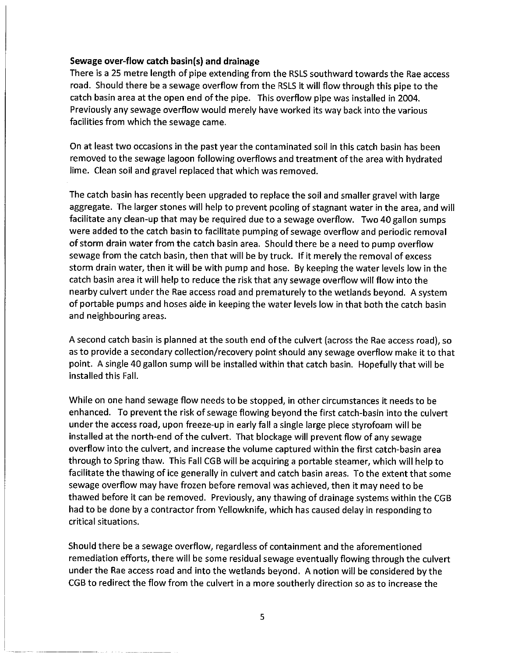#### Sewage over-flow catch basin(s) and drainage

There is a 25 metre length of pipe extending from the RSLS southward towards the Rae access road. Should there be a sewage overflow from the RSLS it will flow through this pipe to the catch basin area at the open end of the pipe. This overflow pipe was installed in 2004. Previously any sewage overflow would merely have worked its way back into the various facilities from which the sewage came.

On at least two occasions in the past year the contaminated soil in this catch basin has been removed to the sewage lagoon following overflows and treatment of the area with hydrated lime. Clean soil and gravel replaced that which was removed.

The catch basin has recently been upgraded to replace the soil and smaller gravel with large aggregate. The larger stones will help to prevent pooling of stagnant water in the area, and will facilitate any clean-up that may be required due to a sewage overflow. Two 40 gallon sumps were added to the catch basin to facilitate pumping of sewage overflow and periodic removal of storm drain water from the catch basin area. Should there be a need to pump overflow sewage from the catch basin, then that will be by truck. If it merely the removal of excess storm drain water, then it will be with pump and hose. By keeping the water levels low in the catch basin area it will help to reduce the risk that any sewage overflow will flow into the nearby culvert under the Rae access road and prematurely to the wetlands beyond. A system of portable pumps and hoses aide in keeping the water levels low in that both the catch basin and neighbouring areas.

A second catch basin is planned at the south end of the culvert (across the Rae access road), so as to provide a secondary collection/recovery point should any sewage overflow make it to that point. A single 40 gallon sump will be installed within that catch basin. Hopefully that will be installed this Fall.

While on one hand sewage flow needs to be stopped, in other circumstances it needs to be enhanced. To prevent the risk of sewage flowing beyond the first catch-basin into the culvert under the access road, upon freeze-up in early fall a single large piece styrofoam will be installed at the north-end of the culvert. That blockage will prevent flow of any sewage overflow into the culvert, and increase the volume captured within the first catch-basin area through to Spring thaw. This Fall CGB will be acquiring a portable steamer, which will help to facilitate the thawing of ice generally in culvert and catch basin areas. To the extent that some sewage overflow may have frozen before removal was achieved, then it may need to be thawed before it can be removed. Previously, any thawing of drainage systems within the CGB had to be done by a contractor from Yellowknife, which has caused delay in responding to critical situations.

Should there be a sewage overflow, regardless of containment and the aforementioned remediation efforts, there will be some residual sewage eventually flowing through the culvert under the Rae access road and into the wetlands beyond. A notion will be considered by the CGB to redirect the flow from the culvert in a more southerly direction so as to increase the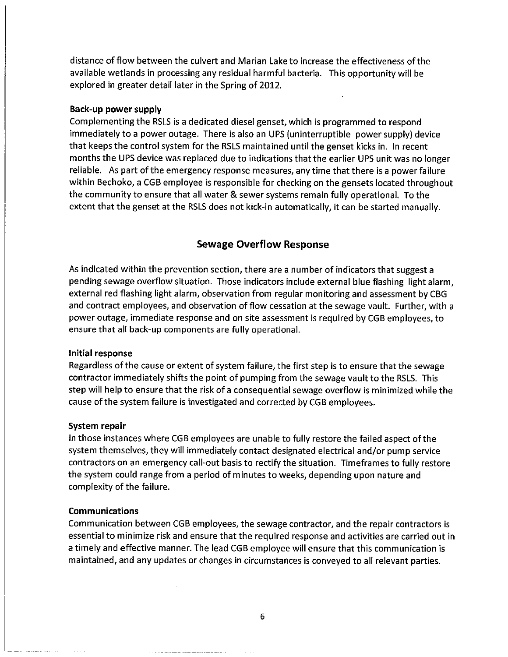distance of flow between the culvert and Marian Lake to increase the effectiveness of the available wetlands in processing any residual harmful bacteria. This opportunity will be explored in greater detail later in the Spring of 2012.

#### Back-up power supply

Complementing the RSLS is a dedicated diesel genset, which is programmed to respond immediately to a power outage. There is also an UPS (uninterruptible power supply) device that keeps the control system for the RSLS maintained until the genset kicks in. In recent months the UPS device was replaced due to indications that the earlier UPS unit was no longer reliable. As part of the emergency response measures, any time that there is a power failure within Bechoko, a CGB employee is responsible for checking on the gensets located throughout the community to ensure that all water & sewer systems remain fully operational. To the extent that the genset at the RSLS does not kick-in automatically, it can be started manually.

#### **Sewage Overflow Response**

As indicated within the prevention section, there are a number of indicators that suggest a pending sewage overflow situation. Those indicators include external blue flashing light alarm, external red flashing light alarm, observation from regular monitoring and assessment by CBG and contract employees, and observation of flow cessation at the sewage vault. Further, with a power outage, immediate response and on site assessment is required by CGB employees, to ensure that all back-up components are fully operational.

#### Initial response

Regardless of the cause or extent of system failure, the first step is to ensure that the sewage contractor immediately shifts the point of pumping from the sewage vault to the RSLS. This step will help to ensure that the risk of a consequential sewage overflow is minimized while the cause of the system failure is investigated and corrected by CGB employees.

#### System repair

In those instances where CGB employees are unable to fully restore the failed aspect of the system themselves, they will immediately contact designated electrical and/or pump service contractors on an emergency call-out basis to rectify the situation. Timeframes to fully restore the system could range from a period of minutes to weeks, depending upon nature and complexity of the failure.

#### **Communications**

Communication between CGB employees, the sewage contractor, and the repair contractors is essential to minimize risk and ensure that the required response and activities are carried out in a timely and effective manner. The lead CGB employee will ensure that this communication is maintained, and any updates or changes in circumstances is conveyed to all relevant parties.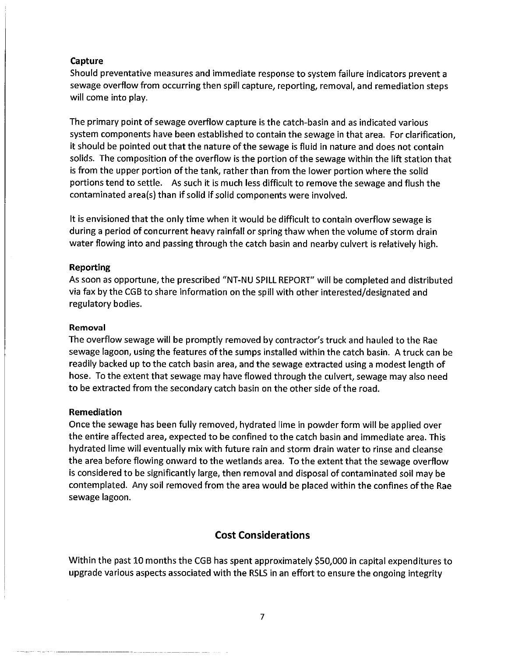#### Capture

Should preventative measures and immediate response to system failure indicators prevent a sewage overflow from occurring then spill capture, reporting, removal, and remediation steps will come into play.

The primary point of sewage overflow capture is the catch-basin and as indicated various system components have been established to contain the sewage in that area. For clarification, it should be pointed out that the nature of the sewage is fluid in nature and does not contain solids. The composition of the overflow is the portion of the sewage within the lift station that is from the upper portion of the tank, rather than from the lower portion where the solid portions tend to settle. As such it is much less difficult to remove the sewage and flush the contaminated area(s) than if solid if solid components were involved.

It is envisioned that the only time when it would be difficult to contain overflow sewage is during a period of concurrent heavy rainfall or spring thaw when the volume of storm drain water flowing into and passing through the catch basin and nearby culvert is relatively high.

#### Reporting

As soon as opportune, the prescribed "NT-NU SPILL REPORT" will be completed and distributed via fax by the CGB to share information on the spill with other interested/designated and regulatory bodies.

#### Removal

The overflow sewage will be promptly removed by contractor's truck and hauled to the Rae sewage lagoon, using the features of the sumps installed within the catch basin. A truck can be readily backed up to the catch basin area, and the sewage extracted using a modest length of hose. To the extent that sewage may have flowed through the culvert, sewage may also need to be extracted from the secondary catch basin on the other side of the road.

#### **Remediation**

Once the sewage has been fully removed, hydrated lime in powder form will be applied over the entire affected area, expected to be confined to the catch basin and immediate area. This hydrated lime will eventually mix with future rain and storm drain water to rinse and cleanse the area before flowing onward to the wetlands area. To the extent that the sewage overflow is considered to be significantly large, then removal and disposal of contaminated soil may be contemplated. Any soil removed from the area would be placed within the confines of the Rae sewage lagoon.

### **Cost Considerations**

Within the past 10 months the CGB has spent approximately \$50,000 in capital expenditures to upgrade various aspects associated with the RSLS in an effort to ensure the ongoing integrity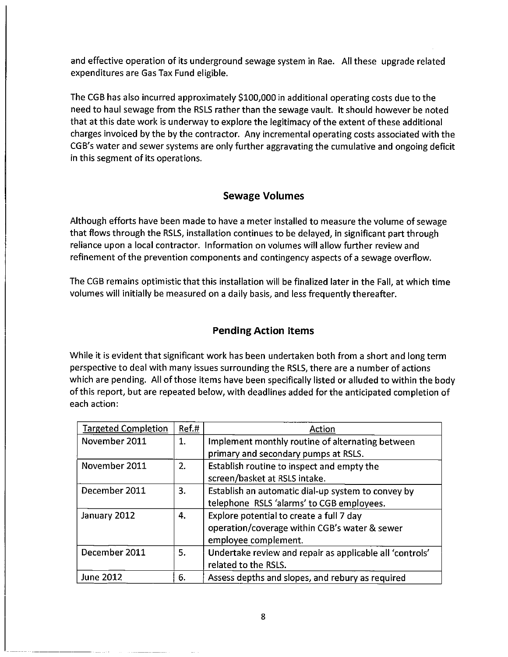and effective operation of its underground sewage system in Rae. All these upgrade related expenditures are Gas Tax Fund eligible.

The CGB has also incurred approximately \$100,000 in additional operating costs due to the need to haul sewage from the RSLS rather than the sewage vault. It should however be noted that at this date work is underway to explore the legitimacy of the extent of these additional charges invoiced by the by the contractor. Any incremental operating costs associated with the CGB's water and sewer systems are only further aggravating the cumulative and ongoing deficit in this segment of its operations.

# **Sewage Volumes**

Although efforts have been made to have a meter installed to measure the volume of sewage that flows through the RSLS, installation continues to be delayed, in significant part through reliance upon a local contractor. Information on volumes will allow further review and refinement of the prevention components and contingency aspects of a sewage overflow.

The CGB remains optimistic that this installation will be finalized later in the Fall, at which time volumes will initially be measured on a daily basis, and less frequently thereafter.

# **Pending Action Items**

While it is evident that significant work has been undertaken both from a short and long term perspective to deal with many issues surrounding the RSLS, there are a number of actions which are pending. All of those items have been specifically listed or alluded to within the body of this report, but are repeated below, with deadlines added for the anticipated completion of each action:

| <b>Targeted Completion</b> | Ref.# | Action                                                   |
|----------------------------|-------|----------------------------------------------------------|
| November 2011              | 1.    | Implement monthly routine of alternating between         |
|                            |       | primary and secondary pumps at RSLS.                     |
| November 2011<br>2.        |       | Establish routine to inspect and empty the               |
|                            |       | screen/basket at RSLS intake.                            |
| December 2011              | 3.    | Establish an automatic dial-up system to convey by       |
|                            |       | telephone RSLS 'alarms' to CGB employees.                |
| January 2012               | 4.    | Explore potential to create a full 7 day                 |
|                            |       | operation/coverage within CGB's water & sewer            |
|                            |       | employee complement.                                     |
| December 2011              | 5.    | Undertake review and repair as applicable all 'controls' |
|                            |       | related to the RSLS.                                     |
| <b>June 2012</b>           | 6.    | Assess depths and slopes, and rebury as required         |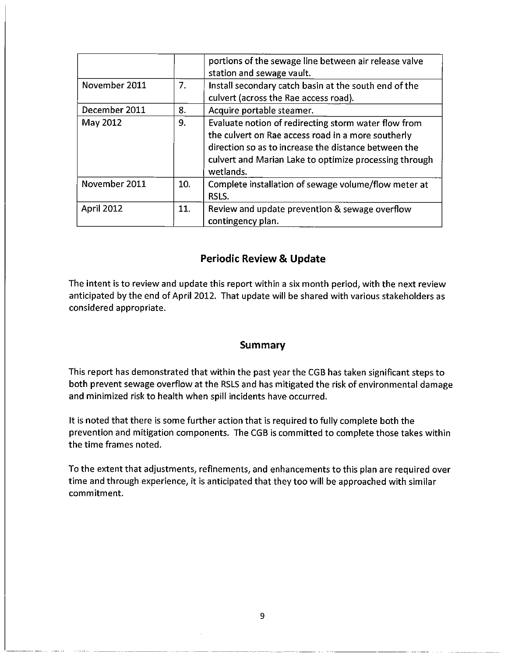|                   |     | portions of the sewage line between air release valve<br>station and sewage vault.                                                                                                                                                        |
|-------------------|-----|-------------------------------------------------------------------------------------------------------------------------------------------------------------------------------------------------------------------------------------------|
| November 2011     | 7.  | Install secondary catch basin at the south end of the<br>culvert (across the Rae access road).                                                                                                                                            |
| December 2011     | 8.  | Acquire portable steamer.                                                                                                                                                                                                                 |
| May 2012          | 9.  | Evaluate notion of redirecting storm water flow from<br>the culvert on Rae access road in a more southerly<br>direction so as to increase the distance between the<br>culvert and Marian Lake to optimize processing through<br>wetlands. |
| November 2011     | 10. | Complete installation of sewage volume/flow meter at<br>RSLS.                                                                                                                                                                             |
| <b>April 2012</b> | 11. | Review and update prevention & sewage overflow<br>contingency plan.                                                                                                                                                                       |

# **Periodic Review & Update**

The intent is to review and update this report within a six month period, with the next review anticipated by the end of April 2012. That update will be shared with various stakeholders as considered appropriate.

#### **Summary**

This report has demonstrated that within the past year the CGB has taken significant steps to both prevent sewage overflow at the RSLS and has mitigated the risk of environmental damage and minimized risk to health when spill incidents have occurred.

It is noted that there is some further action that is required to fully complete both the prevention and mitigation components. The CGB is committed to complete those takes within the time frames noted.

To the extent that adjustments, refinements, and enhancements to this plan are required over time and through experience, it is anticipated that they too will be approached with similar commitment.